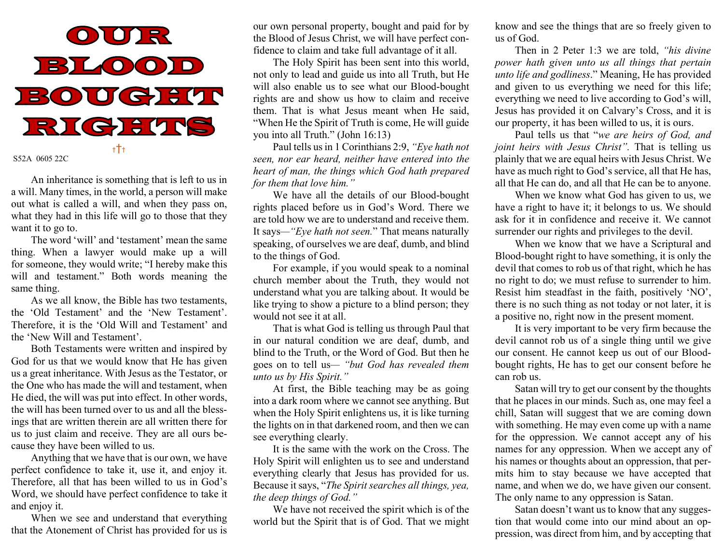

An inheritance is something that is left to us in a will. Many times, in the world, a person will make out what is called a will, and when they pass on, what they had in this life will go to those that they want it to go to.

 The word 'will' and 'testament' mean the same thing. When a lawyer would make up a will for someone, they would write; "I hereby make this will and testament." Both words meaning the same thing.

 As we all know, the Bible has two testaments, the 'Old Testament' and the 'New Testament'. Therefore, it is the 'Old Will and Testament' and the 'New Will and Testament'.

 Both Testaments were written and inspired by God for us that we would know that He has given us a great inheritance. With Jesus as the Testator, or the One who has made the will and testament, when He died, the will was put into effect. In other words, the will has been turned over to us and all the blessings that are written therein are all written there for us to just claim and receive. They are all ours because they have been willed to us.

 Anything that we have that is our own, we have perfect confidence to take it, use it, and enjoy it. Therefore, all that has been willed to us in God's Word, we should have perfect confidence to take it and enjoy it.

 When we see and understand that everything that the Atonement of Christ has provided for us is

our own personal property, bought and paid for by the Blood of Jesus Christ, we will have perfect confidence to claim and take full advantage of it all.

 The Holy Spirit has been sent into this world, not only to lead and guide us into all Truth, but He will also enable us to see what our Blood-bought rights are and show us how to claim and receive them. That is what Jesus meant when He said, "When He the Spirit of Truth is come, He will guide you into all Truth." (John 16:13)

 Paul tells us in 1 Corinthians 2:9, "Eye hath not seen, nor ear heard, neither have entered into the heart of man, the things which God hath prepared for them that love him."

 We have all the details of our Blood-bought rights placed before us in God's Word. There we are told how we are to understand and receive them. It says—"Eye hath not seen." That means naturally speaking, of ourselves we are deaf, dumb, and blind to the things of God.

 For example, if you would speak to a nominal church member about the Truth, they would not understand what you are talking about. It would be like trying to show a picture to a blind person; they would not see it at all.

 That is what God is telling us through Paul that in our natural condition we are deaf, dumb, and blind to the Truth, or the Word of God. But then he goes on to tell us— "but God has revealed them unto us by His Spirit."

 At first, the Bible teaching may be as going into a dark room where we cannot see anything. But when the Holy Spirit enlightens us, it is like turning the lights on in that darkened room, and then we can see everything clearly.

 It is the same with the work on the Cross. The Holy Spirit will enlighten us to see and understand everything clearly that Jesus has provided for us. Because it says, "The Spirit searches all things, yea, the deep things of God."

 We have not received the spirit which is of the world but the Spirit that is of God. That we might know and see the things that are so freely given to us of God.

Then in 2 Peter 1:3 we are told, "his divine" power hath given unto us all things that pertain unto life and godliness." Meaning, He has provided and given to us everything we need for this life; everything we need to live according to God's will, Jesus has provided it on Calvary's Cross, and it is our property, it has been willed to us, it is ours.

 Paul tells us that "we are heirs of God, and joint heirs with Jesus Christ". That is telling us plainly that we are equal heirs with Jesus Christ. We have as much right to God's service, all that He has, all that He can do, and all that He can be to anyone.

 When we know what God has given to us, we have a right to have it; it belongs to us. We should ask for it in confidence and receive it. We cannot surrender our rights and privileges to the devil.

 When we know that we have a Scriptural and Blood-bought right to have something, it is only the devil that comes to rob us of that right, which he has no right to do; we must refuse to surrender to him. Resist him steadfast in the faith, positively 'NO', there is no such thing as not today or not later, it is a positive no, right now in the present moment.

 It is very important to be very firm because the devil cannot rob us of a single thing until we give our consent. He cannot keep us out of our Bloodbought rights, He has to get our consent before he can rob us.

 Satan will try to get our consent by the thoughts that he places in our minds. Such as, one may feel a chill, Satan will suggest that we are coming down with something. He may even come up with a name for the oppression. We cannot accept any of his names for any oppression. When we accept any of his names or thoughts about an oppression, that permits him to stay because we have accepted that name, and when we do, we have given our consent. The only name to any oppression is Satan.

 Satan doesn't want us to know that any suggestion that would come into our mind about an oppression, was direct from him, and by accepting that